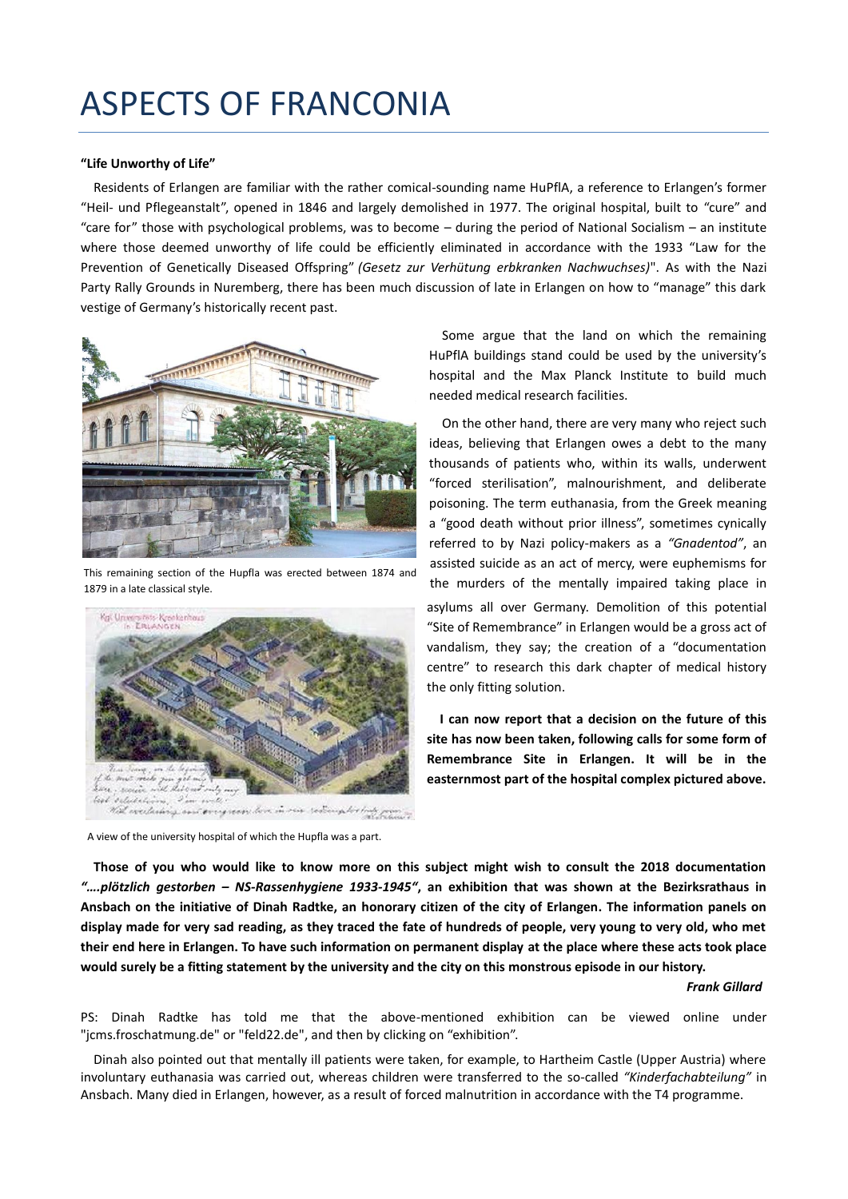## ASPECTS OF FRANCONIA

## **"Life Unworthy of Life"**

Residents of Erlangen are familiar with the rather comical-sounding name HuPflA, a reference to Erlangen's former "Heil- und Pflegeanstalt", opened in 1846 and largely demolished in 1977. The original hospital, built to "cure" and "care for" those with psychological problems, was to become – during the period of National Socialism – an institute where those deemed unworthy of life could be efficiently eliminated in accordance with the 1933 "Law for the Prevention of Genetically Diseased Offspring" *(Gesetz zur Verhütung erbkranken Nachwuchses)*". As with the Nazi Party Rally Grounds in Nuremberg, there has been much discussion of late in Erlangen on how to "manage" this dark vestige of Germany's historically recent past.



This remaining section of the Hupfla was erected between 1874 and 1879 in a late classical style.



A view of the university hospital of which the Hupfla was a part.

Some argue that the land on which the remaining HuPflA buildings stand could be used by the university's hospital and the Max Planck Institute to build much needed medical research facilities.

On the other hand, there are very many who reject such ideas, believing that Erlangen owes a debt to the many thousands of patients who, within its walls, underwent "forced sterilisation", malnourishment, and deliberate poisoning. The term euthanasia, from the Greek meaning a "good death without prior illness", sometimes cynically referred to by Nazi policy-makers as a *"Gnadentod"*, an assisted suicide as an act of mercy, were euphemisms for the murders of the mentally impaired taking place in asylums all over Germany. Demolition of this potential "Site of Remembrance" in Erlangen would be a gross act of vandalism, they say; the creation of a "documentation centre" to research this dark chapter of medical history the only fitting solution.

**I can now report that a decision on the future of this site has now been taken, following calls for some form of Remembrance Site in Erlangen. It will be in the easternmost part of the hospital complex pictured above.** 

**Those of you who would like to know more on this subject might wish to consult the 2018 documentation**  *"….plötzlich gestorben – NS-Rassenhygiene 1933-1945"***, an exhibition that was shown at the Bezirksrathaus in Ansbach on the initiative of Dinah Radtke, an honorary citizen of the city of Erlangen. The information panels on display made for very sad reading, as they traced the fate of hundreds of people, very young to very old, who met their end here in Erlangen. To have such information on permanent display at the place where these acts took place would surely be a fitting statement by the university and the city on this monstrous episode in our history.**

## *Frank Gillard*

PS: Dinah Radtke has told me that the above-mentioned exhibition can be viewed online under "jcms.froschatmung.de" or "feld22.de", and then by clicking on "exhibition".

Dinah also pointed out that mentally ill patients were taken, for example, to Hartheim Castle (Upper Austria) where involuntary euthanasia was carried out, whereas children were transferred to the so-called *"Kinderfachabteilung"* in Ansbach. Many died in Erlangen, however, as a result of forced malnutrition in accordance with the T4 programme.